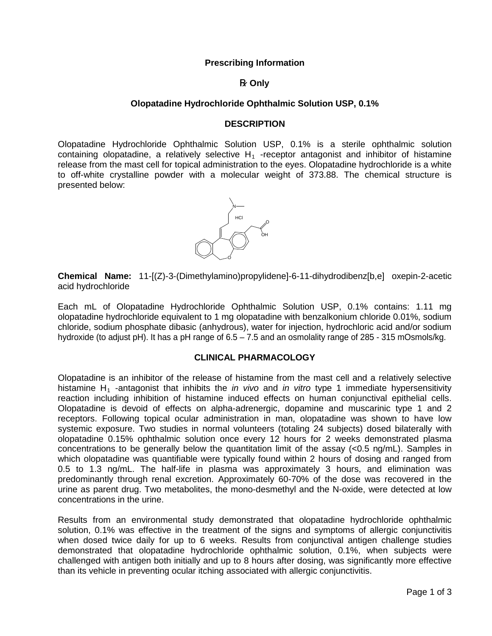## **Prescribing Information**

## **R** Only

## **Olopatadine Hydrochloride Ophthalmic Solution USP, 0.1%**

#### **DESCRIPTION**

Olopatadine Hydrochloride Ophthalmic Solution USP, 0.1% is a sterile ophthalmic solution containing olopatadine, a relatively selective  $H_1$ -receptor antagonist and inhibitor of histamine release from the mast cell for topical administration to the eyes. Olopatadine hydrochloride is a white to off-white crystalline powder with a molecular weight of 373.88. The chemical structure is presented below:



**Chemical Name:** 11-[(Z)-3-(Dimethylamino)propylidene]-6-11-dihydrodibenz[b,e] oxepin-2-acetic acid hydrochloride

Each mL of Olopatadine Hydrochloride Ophthalmic Solution USP, 0.1% contains: 1.11 mg olopatadine hydrochloride equivalent to 1 mg olopatadine with benzalkonium chloride 0.01%, sodium chloride, sodium phosphate dibasic (anhydrous), water for injection, hydrochloric acid and/or sodium hydroxide (to adjust pH). It has a pH range of 6.5 – 7.5 and an osmolality range of 285 - 315 mOsmols/kg.

## **CLINICAL PHARMACOLOGY**

Olopatadine is an inhibitor of the release of histamine from the mast cell and a relatively selective histamine H1 -antagonist that inhibits the *in vivo* and *in vitro* type 1 immediate hypersensitivity reaction including inhibition of histamine induced effects on human conjunctival epithelial cells. Olopatadine is devoid of effects on alpha-adrenergic, dopamine and muscarinic type 1 and 2 receptors. Following topical ocular administration in man, olopatadine was shown to have low systemic exposure. Two studies in normal volunteers (totaling 24 subjects) dosed bilaterally with olopatadine 0.15% ophthalmic solution once every 12 hours for 2 weeks demonstrated plasma concentrations to be generally below the quantitation limit of the assay  $(<0.5 \text{ ng/mL})$ . Samples in which olopatadine was quantifiable were typically found within 2 hours of dosing and ranged from 0.5 to 1.3 ng/mL. The half-life in plasma was approximately 3 hours, and elimination was predominantly through renal excretion. Approximately 60-70% of the dose was recovered in the urine as parent drug. Two metabolites, the mono-desmethyl and the N-oxide, were detected at low concentrations in the urine.

Results from an environmental study demonstrated that olopatadine hydrochloride ophthalmic solution, 0.1% was effective in the treatment of the signs and symptoms of allergic conjunctivitis when dosed twice daily for up to 6 weeks. Results from conjunctival antigen challenge studies demonstrated that olopatadine hydrochloride ophthalmic solution, 0.1%, when subjects were challenged with antigen both initially and up to 8 hours after dosing, was significantly more effective than its vehicle in preventing ocular itching associated with allergic conjunctivitis.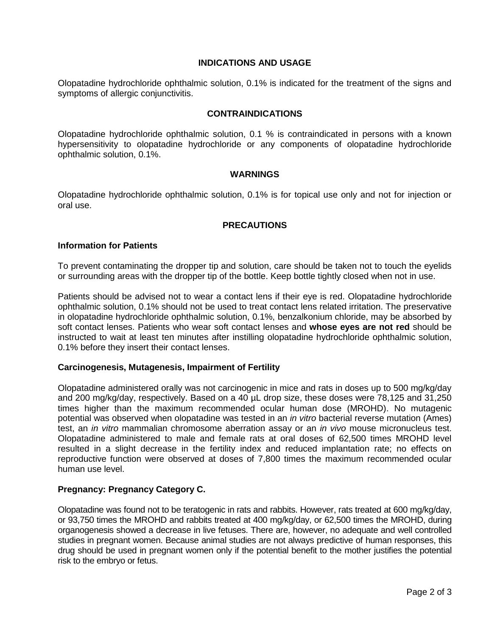## **INDICATIONS AND USAGE**

Olopatadine hydrochloride ophthalmic solution, 0.1% is indicated for the treatment of the signs and symptoms of allergic conjunctivitis.

#### **CONTRAINDICATIONS**

Olopatadine hydrochloride ophthalmic solution, 0.1 % is contraindicated in persons with a known hypersensitivity to olopatadine hydrochloride or any components of olopatadine hydrochloride ophthalmic solution, 0.1%.

#### **WARNINGS**

Olopatadine hydrochloride ophthalmic solution, 0.1% is for topical use only and not for injection or oral use.

## **PRECAUTIONS**

#### **Information for Patients**

To prevent contaminating the dropper tip and solution, care should be taken not to touch the eyelids or surrounding areas with the dropper tip of the bottle. Keep bottle tightly closed when not in use.

Patients should be advised not to wear a contact lens if their eye is red. Olopatadine hydrochloride ophthalmic solution, 0.1% should not be used to treat contact lens related irritation. The preservative in olopatadine hydrochloride ophthalmic solution, 0.1%, benzalkonium chloride, may be absorbed by soft contact lenses. Patients who wear soft contact lenses and **whose eyes are not red** should be instructed to wait at least ten minutes after instilling olopatadine hydrochloride ophthalmic solution, 0.1% before they insert their contact lenses.

#### **Carcinogenesis, Mutagenesis, Impairment of Fertility**

Olopatadine administered orally was not carcinogenic in mice and rats in doses up to 500 mg/kg/day and 200 mg/kg/day, respectively. Based on a 40 µL drop size, these doses were 78,125 and 31,250 times higher than the maximum recommended ocular human dose (MROHD). No mutagenic potential was observed when olopatadine was tested in an *in vitro* bacterial reverse mutation (Ames) test, an *in vitro* mammalian chromosome aberration assay or an *in vivo* mouse micronucleus test. Olopatadine administered to male and female rats at oral doses of 62,500 times MROHD level resulted in a slight decrease in the fertility index and reduced implantation rate; no effects on reproductive function were observed at doses of 7,800 times the maximum recommended ocular human use level.

# **Pregnancy: Pregnancy Category C.**

Olopatadine was found not to be teratogenic in rats and rabbits. However, rats treated at 600 mg/kg/day, or 93,750 times the MROHD and rabbits treated at 400 mg/kg/day, or 62,500 times the MROHD, during organogenesis showed a decrease in live fetuses. There are, however, no adequate and well controlled studies in pregnant women. Because animal studies are not always predictive of human responses, this drug should be used in pregnant women only if the potential benefit to the mother justifies the potential risk to the embryo or fetus.